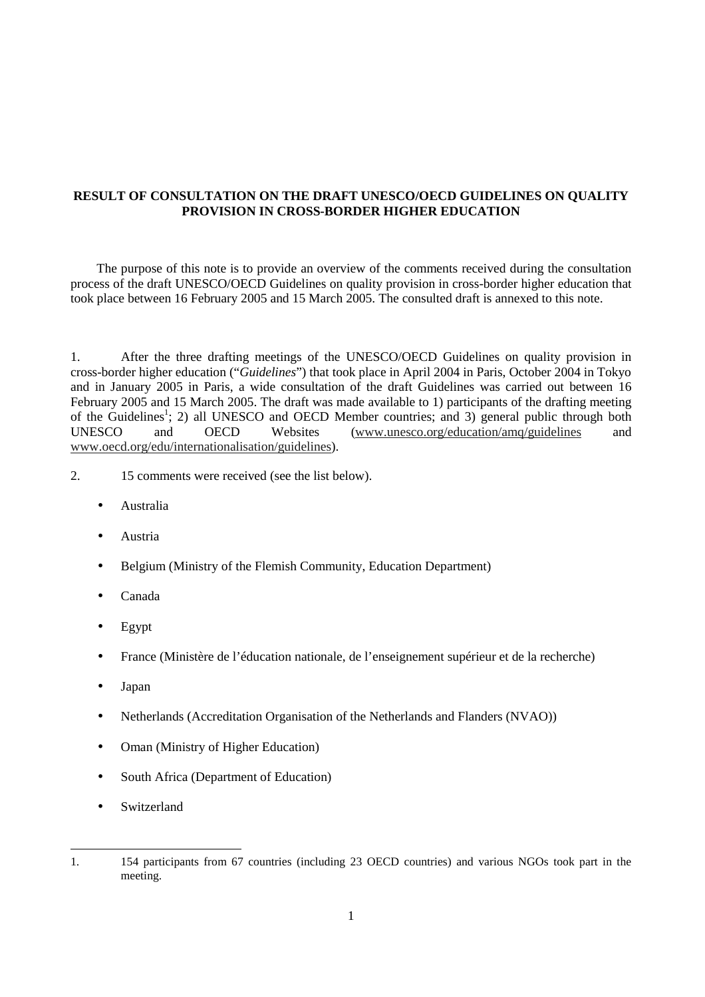# **RESULT OF CONSULTATION ON THE DRAFT UNESCO/OECD GUIDELINES ON QUALITY PROVISION IN CROSS-BORDER HIGHER EDUCATION**

The purpose of this note is to provide an overview of the comments received during the consultation process of the draft UNESCO/OECD Guidelines on quality provision in cross-border higher education that took place between 16 February 2005 and 15 March 2005. The consulted draft is annexed to this note.

1. After the three drafting meetings of the UNESCO/OECD Guidelines on quality provision in cross-border higher education ("*Guidelines*") that took place in April 2004 in Paris, October 2004 in Tokyo and in January 2005 in Paris, a wide consultation of the draft Guidelines was carried out between 16 February 2005 and 15 March 2005. The draft was made available to 1) participants of the drafting meeting of the Guidelines<sup>1</sup>; 2) all UNESCO and OECD Member countries; and 3) general public through both UNESCO and OECD Websites (www.unesco.org/education/amg/guidelines and www.oecd.org/edu/internationalisation/guidelines).

- 2. 15 comments were received (see the list below).
	- Australia
	- Austria
	- Belgium (Ministry of the Flemish Community, Education Department)
	- Canada
	- Egypt
	- France (Ministère de l'éducation nationale, de l'enseignement supérieur et de la recherche)
	- Japan
	- Netherlands (Accreditation Organisation of the Netherlands and Flanders (NVAO))
	- Oman (Ministry of Higher Education)
	- South Africa (Department of Education)
	- **Switzerland**

<sup>1. 154</sup> participants from 67 countries (including 23 OECD countries) and various NGOs took part in the meeting.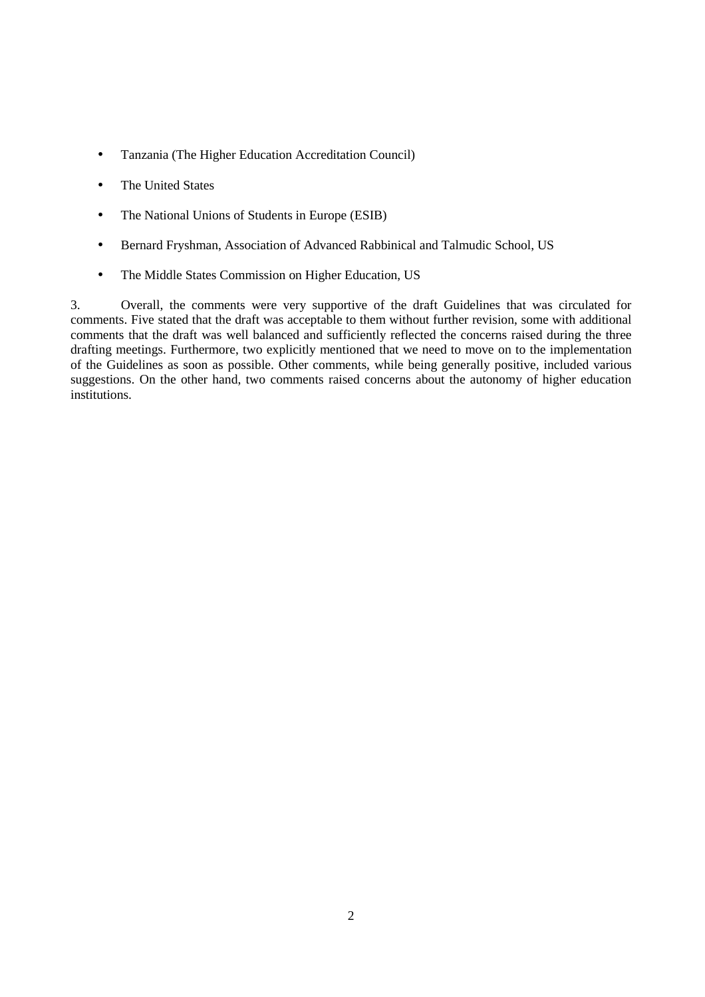- Tanzania (The Higher Education Accreditation Council)
- The United States
- The National Unions of Students in Europe (ESIB)
- Bernard Fryshman, Association of Advanced Rabbinical and Talmudic School, US
- The Middle States Commission on Higher Education, US

3. Overall, the comments were very supportive of the draft Guidelines that was circulated for comments. Five stated that the draft was acceptable to them without further revision, some with additional comments that the draft was well balanced and sufficiently reflected the concerns raised during the three drafting meetings. Furthermore, two explicitly mentioned that we need to move on to the implementation of the Guidelines as soon as possible. Other comments, while being generally positive, included various suggestions. On the other hand, two comments raised concerns about the autonomy of higher education institutions.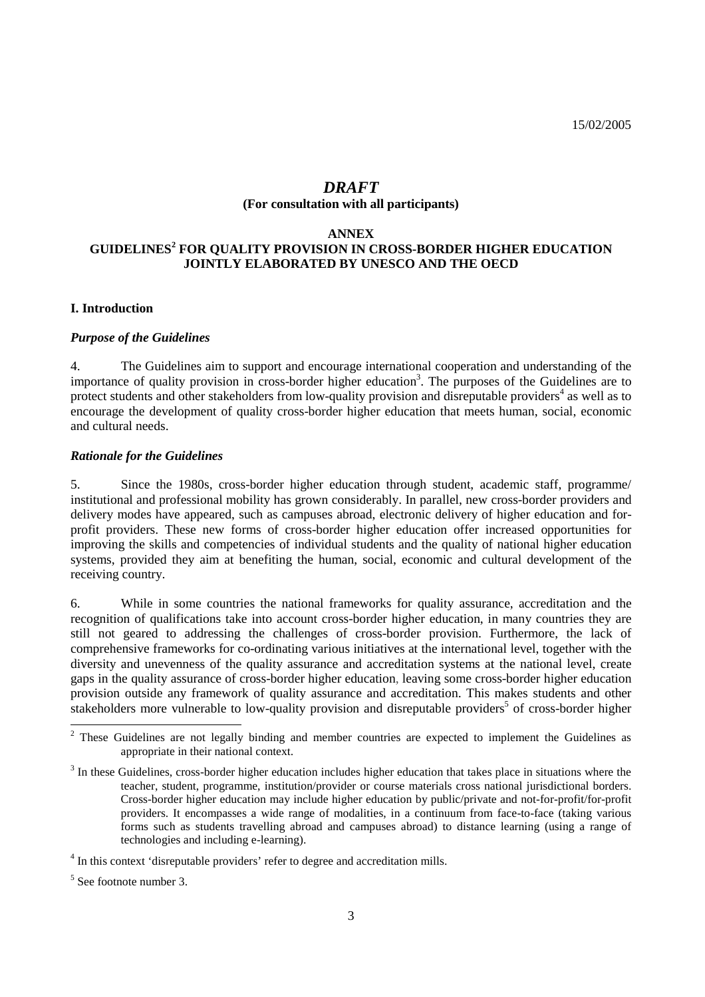15/02/2005

# *DRAFT*

**(For consultation with all participants)** 

#### **ANNEX GUIDELINES<sup>2</sup> FOR QUALITY PROVISION IN CROSS-BORDER HIGHER EDUCATION JOINTLY ELABORATED BY UNESCO AND THE OECD**

#### **I. Introduction**

#### *Purpose of the Guidelines*

4. The Guidelines aim to support and encourage international cooperation and understanding of the importance of quality provision in cross-border higher education<sup>3</sup>. The purposes of the Guidelines are to protect students and other stakeholders from low-quality provision and disreputable providers<sup>4</sup> as well as to encourage the development of quality cross-border higher education that meets human, social, economic and cultural needs.

#### *Rationale for the Guidelines*

5. Since the 1980s, cross-border higher education through student, academic staff, programme/ institutional and professional mobility has grown considerably. In parallel, new cross-border providers and delivery modes have appeared, such as campuses abroad, electronic delivery of higher education and forprofit providers. These new forms of cross-border higher education offer increased opportunities for improving the skills and competencies of individual students and the quality of national higher education systems, provided they aim at benefiting the human, social, economic and cultural development of the receiving country.

6. While in some countries the national frameworks for quality assurance, accreditation and the recognition of qualifications take into account cross-border higher education, in many countries they are still not geared to addressing the challenges of cross-border provision. Furthermore, the lack of comprehensive frameworks for co-ordinating various initiatives at the international level, together with the diversity and unevenness of the quality assurance and accreditation systems at the national level, create gaps in the quality assurance of cross-border higher education, leaving some cross-border higher education provision outside any framework of quality assurance and accreditation. This makes students and other stakeholders more vulnerable to low-quality provision and disreputable providers<sup>5</sup> of cross-border higher

<sup>&</sup>lt;sup>2</sup> These Guidelines are not legally binding and member countries are expected to implement the Guidelines as appropriate in their national context.

 $3$  In these Guidelines, cross-border higher education includes higher education that takes place in situations where the teacher, student, programme, institution/provider or course materials cross national jurisdictional borders. Cross-border higher education may include higher education by public/private and not-for-profit/for-profit providers. It encompasses a wide range of modalities, in a continuum from face-to-face (taking various forms such as students travelling abroad and campuses abroad) to distance learning (using a range of technologies and including e-learning).

<sup>&</sup>lt;sup>4</sup> In this context 'disreputable providers' refer to degree and accreditation mills.

<sup>5</sup> See footnote number 3.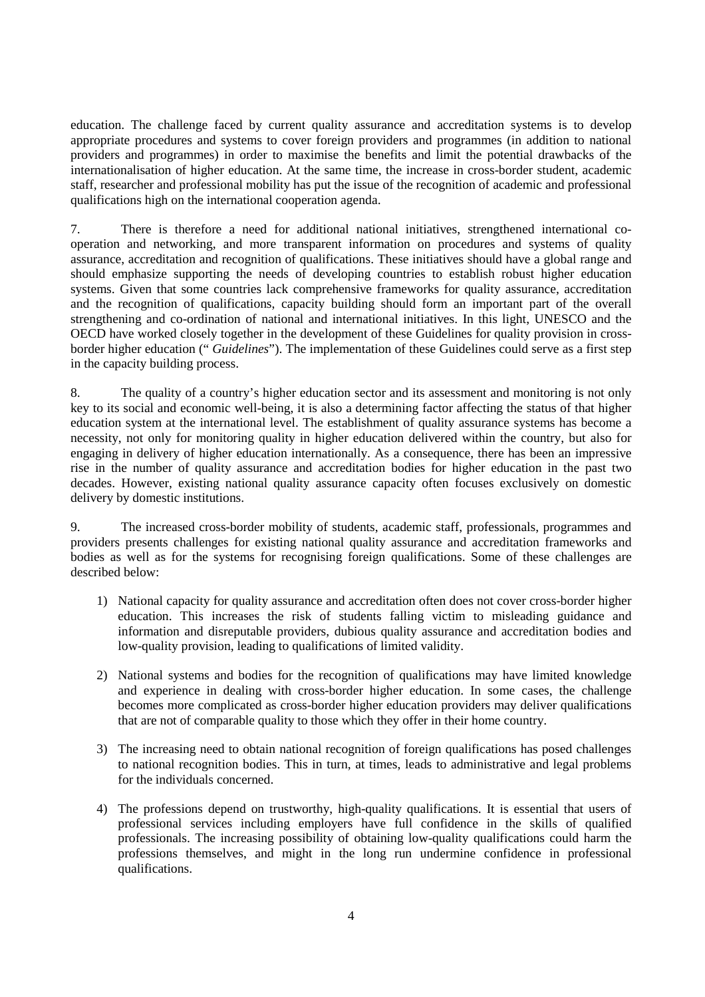education. The challenge faced by current quality assurance and accreditation systems is to develop appropriate procedures and systems to cover foreign providers and programmes (in addition to national providers and programmes) in order to maximise the benefits and limit the potential drawbacks of the internationalisation of higher education. At the same time, the increase in cross-border student, academic staff, researcher and professional mobility has put the issue of the recognition of academic and professional qualifications high on the international cooperation agenda.

7. There is therefore a need for additional national initiatives, strengthened international cooperation and networking, and more transparent information on procedures and systems of quality assurance, accreditation and recognition of qualifications. These initiatives should have a global range and should emphasize supporting the needs of developing countries to establish robust higher education systems. Given that some countries lack comprehensive frameworks for quality assurance, accreditation and the recognition of qualifications, capacity building should form an important part of the overall strengthening and co-ordination of national and international initiatives. In this light, UNESCO and the OECD have worked closely together in the development of these Guidelines for quality provision in crossborder higher education (" *Guidelines*"). The implementation of these Guidelines could serve as a first step in the capacity building process.

8. The quality of a country's higher education sector and its assessment and monitoring is not only key to its social and economic well-being, it is also a determining factor affecting the status of that higher education system at the international level. The establishment of quality assurance systems has become a necessity, not only for monitoring quality in higher education delivered within the country, but also for engaging in delivery of higher education internationally. As a consequence, there has been an impressive rise in the number of quality assurance and accreditation bodies for higher education in the past two decades. However, existing national quality assurance capacity often focuses exclusively on domestic delivery by domestic institutions.

9. The increased cross-border mobility of students, academic staff, professionals, programmes and providers presents challenges for existing national quality assurance and accreditation frameworks and bodies as well as for the systems for recognising foreign qualifications. Some of these challenges are described below:

- 1) National capacity for quality assurance and accreditation often does not cover cross-border higher education. This increases the risk of students falling victim to misleading guidance and information and disreputable providers, dubious quality assurance and accreditation bodies and low-quality provision, leading to qualifications of limited validity.
- 2) National systems and bodies for the recognition of qualifications may have limited knowledge and experience in dealing with cross-border higher education. In some cases, the challenge becomes more complicated as cross-border higher education providers may deliver qualifications that are not of comparable quality to those which they offer in their home country.
- 3) The increasing need to obtain national recognition of foreign qualifications has posed challenges to national recognition bodies. This in turn, at times, leads to administrative and legal problems for the individuals concerned.
- 4) The professions depend on trustworthy, high-quality qualifications. It is essential that users of professional services including employers have full confidence in the skills of qualified professionals. The increasing possibility of obtaining low-quality qualifications could harm the professions themselves, and might in the long run undermine confidence in professional qualifications.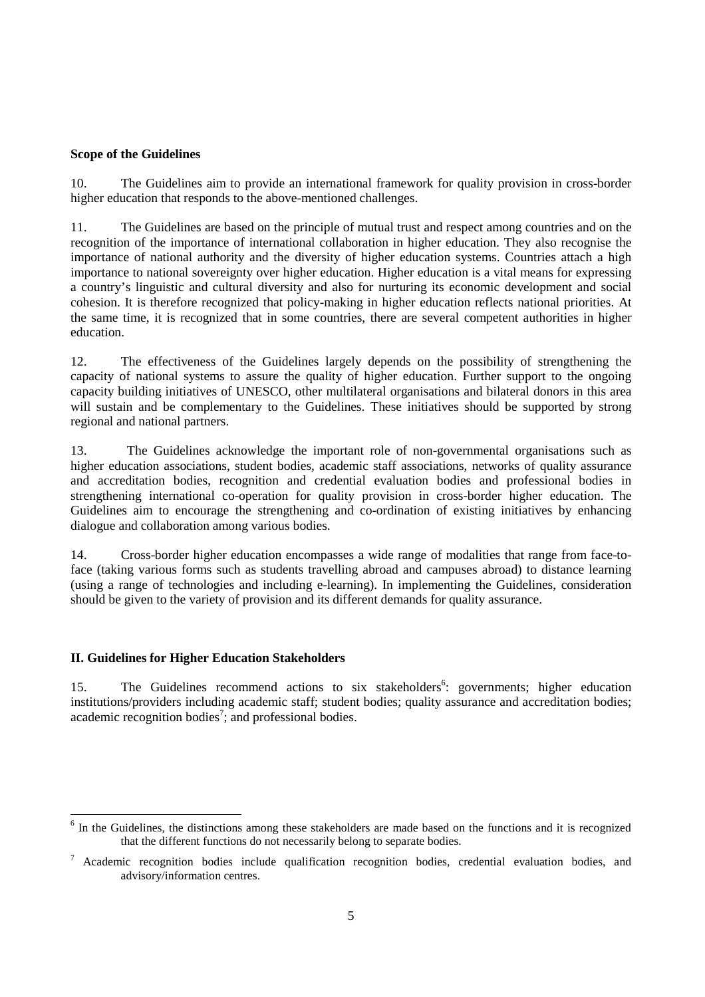#### **Scope of the Guidelines**

10. The Guidelines aim to provide an international framework for quality provision in cross-border higher education that responds to the above-mentioned challenges.

11. The Guidelines are based on the principle of mutual trust and respect among countries and on the recognition of the importance of international collaboration in higher education. They also recognise the importance of national authority and the diversity of higher education systems. Countries attach a high importance to national sovereignty over higher education. Higher education is a vital means for expressing a country's linguistic and cultural diversity and also for nurturing its economic development and social cohesion. It is therefore recognized that policy-making in higher education reflects national priorities. At the same time, it is recognized that in some countries, there are several competent authorities in higher education.

12. The effectiveness of the Guidelines largely depends on the possibility of strengthening the capacity of national systems to assure the quality of higher education. Further support to the ongoing capacity building initiatives of UNESCO, other multilateral organisations and bilateral donors in this area will sustain and be complementary to the Guidelines. These initiatives should be supported by strong regional and national partners.

13. The Guidelines acknowledge the important role of non-governmental organisations such as higher education associations, student bodies, academic staff associations, networks of quality assurance and accreditation bodies, recognition and credential evaluation bodies and professional bodies in strengthening international co-operation for quality provision in cross-border higher education. The Guidelines aim to encourage the strengthening and co-ordination of existing initiatives by enhancing dialogue and collaboration among various bodies.

14. Cross-border higher education encompasses a wide range of modalities that range from face-toface (taking various forms such as students travelling abroad and campuses abroad) to distance learning (using a range of technologies and including e-learning). In implementing the Guidelines, consideration should be given to the variety of provision and its different demands for quality assurance.

## **II. Guidelines for Higher Education Stakeholders**

 $\overline{a}$ 

15. The Guidelines recommend actions to six stakeholders<sup>6</sup>: governments; higher education institutions/providers including academic staff; student bodies; quality assurance and accreditation bodies; academic recognition bodies<sup>7</sup>; and professional bodies.

<sup>&</sup>lt;sup>6</sup> In the Guidelines, the distinctions among these stakeholders are made based on the functions and it is recognized that the different functions do not necessarily belong to separate bodies.

<sup>&</sup>lt;sup>7</sup> Academic recognition bodies include qualification recognition bodies, credential evaluation bodies, and advisory/information centres.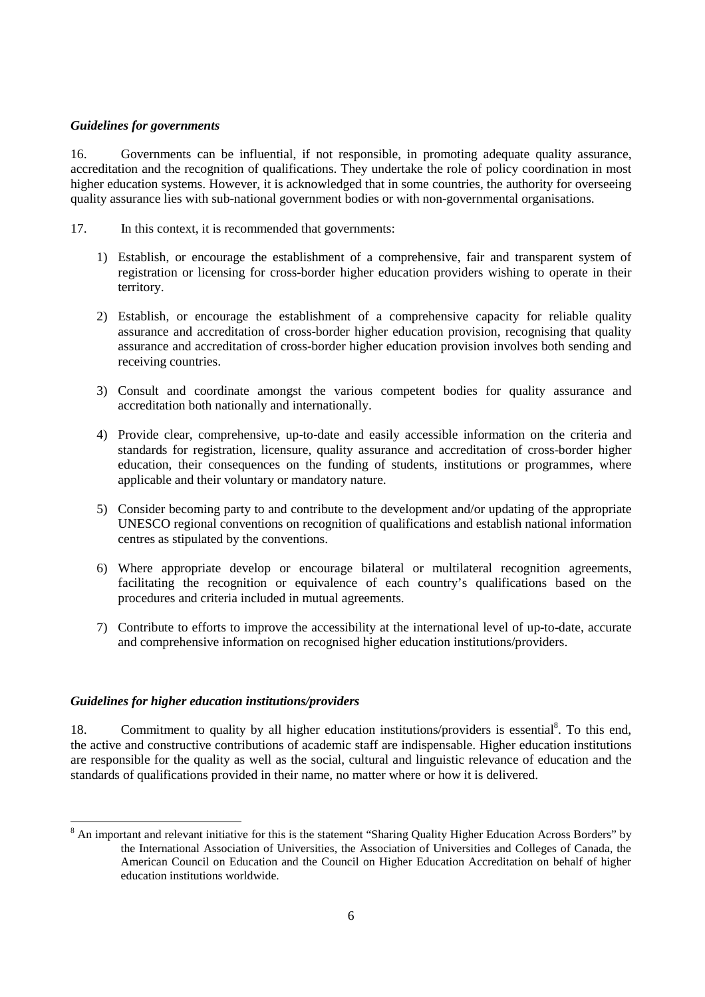## *Guidelines for governments*

16. Governments can be influential, if not responsible, in promoting adequate quality assurance, accreditation and the recognition of qualifications. They undertake the role of policy coordination in most higher education systems. However, it is acknowledged that in some countries, the authority for overseeing quality assurance lies with sub-national government bodies or with non-governmental organisations.

- 17. In this context, it is recommended that governments:
	- 1) Establish, or encourage the establishment of a comprehensive, fair and transparent system of registration or licensing for cross-border higher education providers wishing to operate in their territory.
	- 2) Establish, or encourage the establishment of a comprehensive capacity for reliable quality assurance and accreditation of cross-border higher education provision, recognising that quality assurance and accreditation of cross-border higher education provision involves both sending and receiving countries.
	- 3) Consult and coordinate amongst the various competent bodies for quality assurance and accreditation both nationally and internationally.
	- 4) Provide clear, comprehensive, up-to-date and easily accessible information on the criteria and standards for registration, licensure, quality assurance and accreditation of cross-border higher education, their consequences on the funding of students, institutions or programmes, where applicable and their voluntary or mandatory nature.
	- 5) Consider becoming party to and contribute to the development and/or updating of the appropriate UNESCO regional conventions on recognition of qualifications and establish national information centres as stipulated by the conventions.
	- 6) Where appropriate develop or encourage bilateral or multilateral recognition agreements, facilitating the recognition or equivalence of each country's qualifications based on the procedures and criteria included in mutual agreements.
	- 7) Contribute to efforts to improve the accessibility at the international level of up-to-date, accurate and comprehensive information on recognised higher education institutions/providers.

## *Guidelines for higher education institutions/providers*

18. Commitment to quality by all higher education institutions/providers is essential<sup>8</sup>. To this end, the active and constructive contributions of academic staff are indispensable. Higher education institutions are responsible for the quality as well as the social, cultural and linguistic relevance of education and the standards of qualifications provided in their name, no matter where or how it is delivered.

 $\overline{a}$ <sup>8</sup> An important and relevant initiative for this is the statement "Sharing Quality Higher Education Across Borders" by the International Association of Universities, the Association of Universities and Colleges of Canada, the American Council on Education and the Council on Higher Education Accreditation on behalf of higher education institutions worldwide.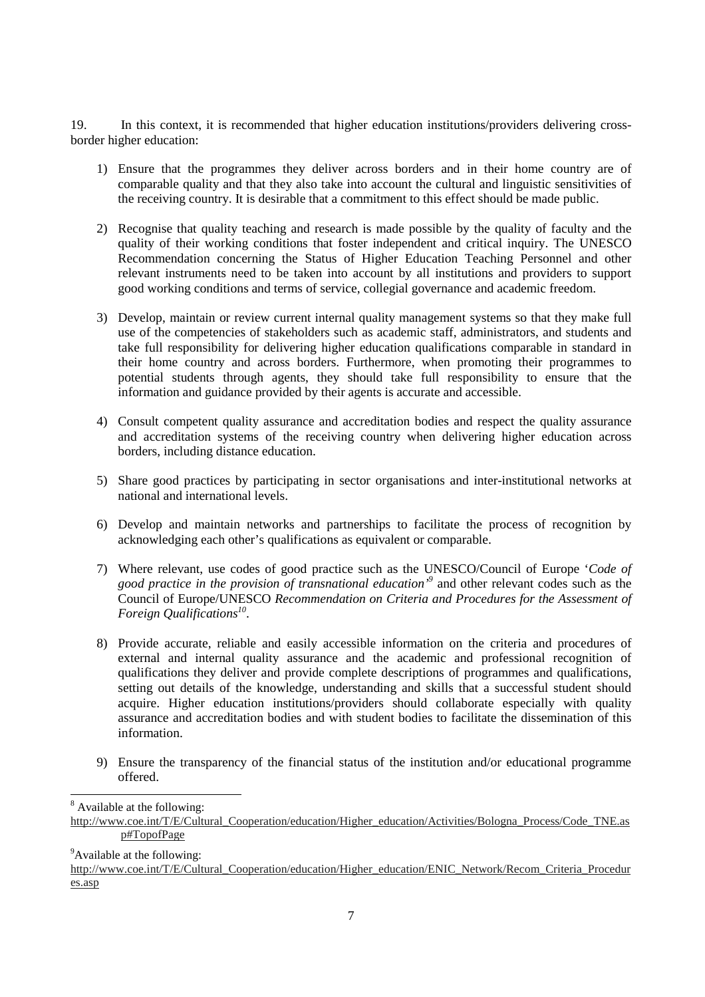19. In this context, it is recommended that higher education institutions/providers delivering crossborder higher education:

- 1) Ensure that the programmes they deliver across borders and in their home country are of comparable quality and that they also take into account the cultural and linguistic sensitivities of the receiving country. It is desirable that a commitment to this effect should be made public.
- 2) Recognise that quality teaching and research is made possible by the quality of faculty and the quality of their working conditions that foster independent and critical inquiry. The UNESCO Recommendation concerning the Status of Higher Education Teaching Personnel and other relevant instruments need to be taken into account by all institutions and providers to support good working conditions and terms of service, collegial governance and academic freedom.
- 3) Develop, maintain or review current internal quality management systems so that they make full use of the competencies of stakeholders such as academic staff, administrators, and students and take full responsibility for delivering higher education qualifications comparable in standard in their home country and across borders. Furthermore, when promoting their programmes to potential students through agents, they should take full responsibility to ensure that the information and guidance provided by their agents is accurate and accessible.
- 4) Consult competent quality assurance and accreditation bodies and respect the quality assurance and accreditation systems of the receiving country when delivering higher education across borders, including distance education.
- 5) Share good practices by participating in sector organisations and inter-institutional networks at national and international levels.
- 6) Develop and maintain networks and partnerships to facilitate the process of recognition by acknowledging each other's qualifications as equivalent or comparable.
- 7) Where relevant, use codes of good practice such as the UNESCO/Council of Europe '*Code of good practice in the provision of transnational education'9* and other relevant codes such as the Council of Europe/UNESCO *Recommendation on Criteria and Procedures for the Assessment of Foreign Qualifications*<sup>10</sup>.
- 8) Provide accurate, reliable and easily accessible information on the criteria and procedures of external and internal quality assurance and the academic and professional recognition of qualifications they deliver and provide complete descriptions of programmes and qualifications, setting out details of the knowledge, understanding and skills that a successful student should acquire. Higher education institutions/providers should collaborate especially with quality assurance and accreditation bodies and with student bodies to facilitate the dissemination of this information.
- 9) Ensure the transparency of the financial status of the institution and/or educational programme offered.

8 Available at the following:

<sup>9</sup> Available at the following:

http://www.coe.int/T/E/Cultural\_Cooperation/education/Higher\_education/Activities/Bologna\_Process/Code\_TNE.as p#TopofPage

http://www.coe.int/T/E/Cultural\_Cooperation/education/Higher\_education/ENIC\_Network/Recom\_Criteria\_Procedur es.asp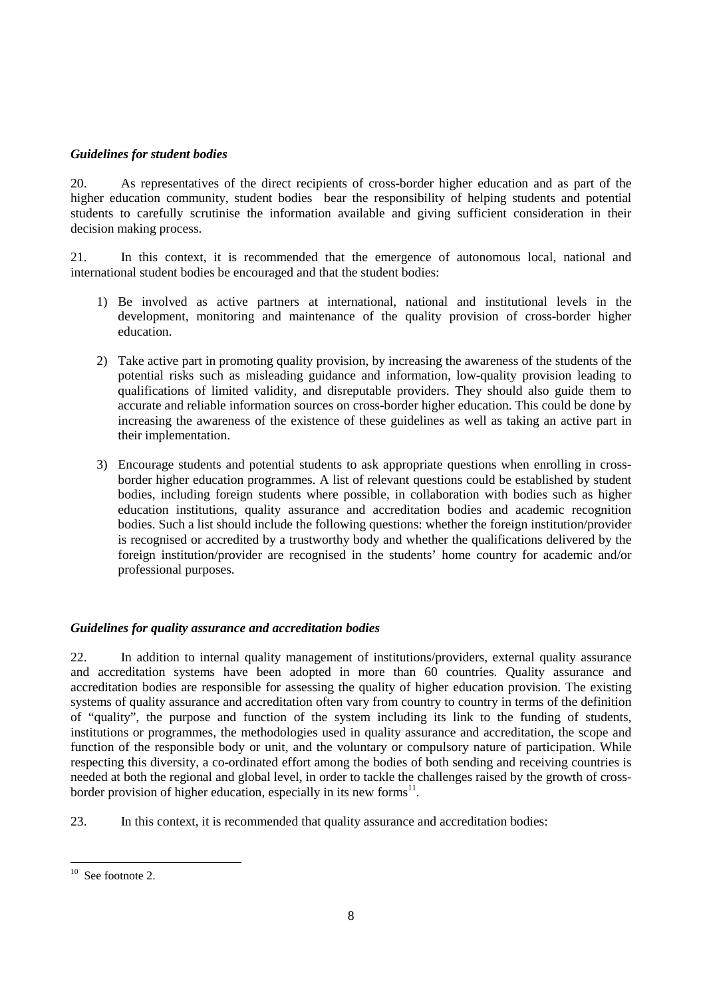# *Guidelines for student bodies*

20. As representatives of the direct recipients of cross-border higher education and as part of the higher education community, student bodies bear the responsibility of helping students and potential students to carefully scrutinise the information available and giving sufficient consideration in their decision making process.

21. In this context, it is recommended that the emergence of autonomous local, national and international student bodies be encouraged and that the student bodies:

- 1) Be involved as active partners at international, national and institutional levels in the development, monitoring and maintenance of the quality provision of cross-border higher education.
- 2) Take active part in promoting quality provision, by increasing the awareness of the students of the potential risks such as misleading guidance and information, low-quality provision leading to qualifications of limited validity, and disreputable providers. They should also guide them to accurate and reliable information sources on cross-border higher education. This could be done by increasing the awareness of the existence of these guidelines as well as taking an active part in their implementation.
- 3) Encourage students and potential students to ask appropriate questions when enrolling in crossborder higher education programmes. A list of relevant questions could be established by student bodies, including foreign students where possible, in collaboration with bodies such as higher education institutions, quality assurance and accreditation bodies and academic recognition bodies. Such a list should include the following questions: whether the foreign institution/provider is recognised or accredited by a trustworthy body and whether the qualifications delivered by the foreign institution/provider are recognised in the students' home country for academic and/or professional purposes.

## *Guidelines for quality assurance and accreditation bodies*

22. In addition to internal quality management of institutions/providers, external quality assurance and accreditation systems have been adopted in more than 60 countries. Quality assurance and accreditation bodies are responsible for assessing the quality of higher education provision. The existing systems of quality assurance and accreditation often vary from country to country in terms of the definition of "quality", the purpose and function of the system including its link to the funding of students, institutions or programmes, the methodologies used in quality assurance and accreditation, the scope and function of the responsible body or unit, and the voluntary or compulsory nature of participation. While respecting this diversity, a co-ordinated effort among the bodies of both sending and receiving countries is needed at both the regional and global level, in order to tackle the challenges raised by the growth of crossborder provision of higher education, especially in its new forms<sup>11</sup>.

23. In this context, it is recommended that quality assurance and accreditation bodies:

 $\overline{a}$ 

 $10$  See footnote 2.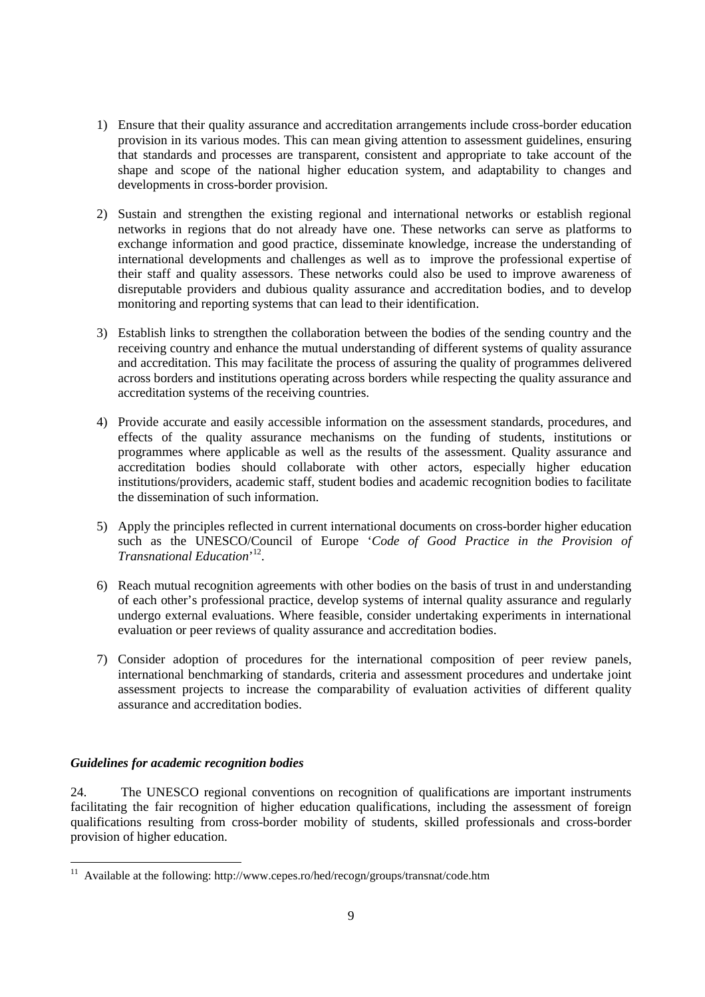- 1) Ensure that their quality assurance and accreditation arrangements include cross-border education provision in its various modes. This can mean giving attention to assessment guidelines, ensuring that standards and processes are transparent, consistent and appropriate to take account of the shape and scope of the national higher education system, and adaptability to changes and developments in cross-border provision.
- 2) Sustain and strengthen the existing regional and international networks or establish regional networks in regions that do not already have one. These networks can serve as platforms to exchange information and good practice, disseminate knowledge, increase the understanding of international developments and challenges as well as to improve the professional expertise of their staff and quality assessors. These networks could also be used to improve awareness of disreputable providers and dubious quality assurance and accreditation bodies, and to develop monitoring and reporting systems that can lead to their identification.
- 3) Establish links to strengthen the collaboration between the bodies of the sending country and the receiving country and enhance the mutual understanding of different systems of quality assurance and accreditation. This may facilitate the process of assuring the quality of programmes delivered across borders and institutions operating across borders while respecting the quality assurance and accreditation systems of the receiving countries.
- 4) Provide accurate and easily accessible information on the assessment standards, procedures, and effects of the quality assurance mechanisms on the funding of students, institutions or programmes where applicable as well as the results of the assessment. Quality assurance and accreditation bodies should collaborate with other actors, especially higher education institutions/providers, academic staff, student bodies and academic recognition bodies to facilitate the dissemination of such information.
- 5) Apply the principles reflected in current international documents on cross-border higher education such as the UNESCO/Council of Europe '*Code of Good Practice in the Provision of Transnational Education*' 12.
- 6) Reach mutual recognition agreements with other bodies on the basis of trust in and understanding of each other's professional practice, develop systems of internal quality assurance and regularly undergo external evaluations. Where feasible, consider undertaking experiments in international evaluation or peer reviews of quality assurance and accreditation bodies.
- 7) Consider adoption of procedures for the international composition of peer review panels, international benchmarking of standards, criteria and assessment procedures and undertake joint assessment projects to increase the comparability of evaluation activities of different quality assurance and accreditation bodies.

# *Guidelines for academic recognition bodies*

 $\overline{a}$ 

24. The UNESCO regional conventions on recognition of qualifications are important instruments facilitating the fair recognition of higher education qualifications, including the assessment of foreign qualifications resulting from cross-border mobility of students, skilled professionals and cross-border provision of higher education.

<sup>&</sup>lt;sup>11</sup> Available at the following: http://www.cepes.ro/hed/recogn/groups/transnat/code.htm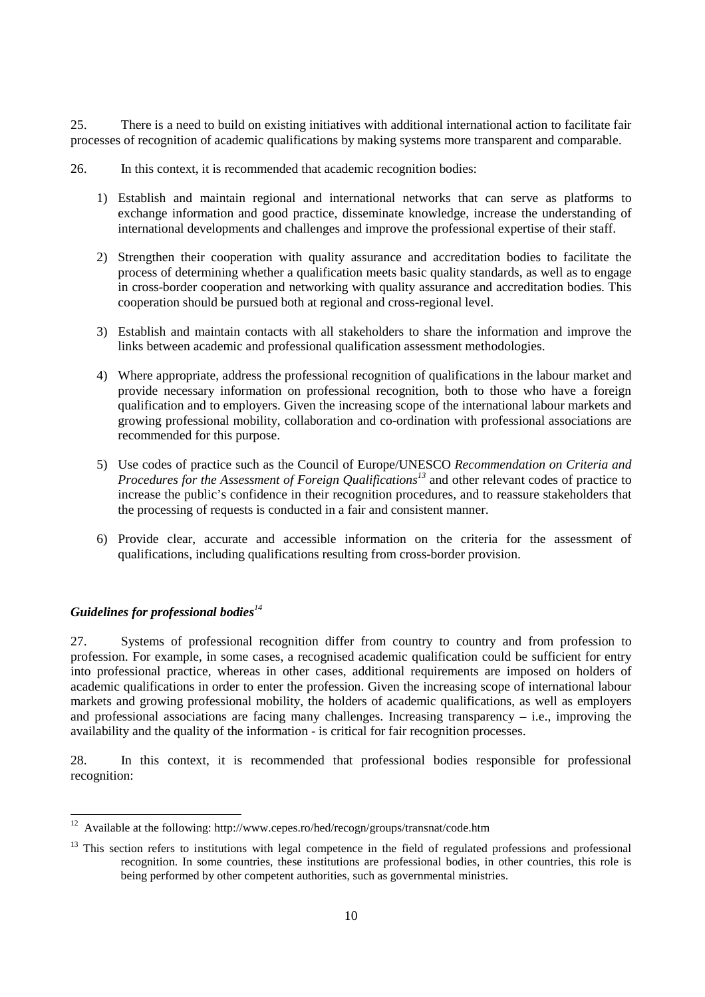25. There is a need to build on existing initiatives with additional international action to facilitate fair processes of recognition of academic qualifications by making systems more transparent and comparable.

- 26. In this context, it is recommended that academic recognition bodies:
	- 1) Establish and maintain regional and international networks that can serve as platforms to exchange information and good practice, disseminate knowledge, increase the understanding of international developments and challenges and improve the professional expertise of their staff.
	- 2) Strengthen their cooperation with quality assurance and accreditation bodies to facilitate the process of determining whether a qualification meets basic quality standards, as well as to engage in cross-border cooperation and networking with quality assurance and accreditation bodies. This cooperation should be pursued both at regional and cross-regional level.
	- 3) Establish and maintain contacts with all stakeholders to share the information and improve the links between academic and professional qualification assessment methodologies.
	- 4) Where appropriate, address the professional recognition of qualifications in the labour market and provide necessary information on professional recognition, both to those who have a foreign qualification and to employers. Given the increasing scope of the international labour markets and growing professional mobility, collaboration and co-ordination with professional associations are recommended for this purpose.
	- 5) Use codes of practice such as the Council of Europe/UNESCO *Recommendation on Criteria and Procedures for the Assessment of Foreign Qualifications<sup>13</sup> and other relevant codes of practice to* increase the public's confidence in their recognition procedures, and to reassure stakeholders that the processing of requests is conducted in a fair and consistent manner.
	- 6) Provide clear, accurate and accessible information on the criteria for the assessment of qualifications, including qualifications resulting from cross-border provision.

## *Guidelines for professional bodies<sup>14</sup>*

 $\overline{a}$ 

27. Systems of professional recognition differ from country to country and from profession to profession. For example, in some cases, a recognised academic qualification could be sufficient for entry into professional practice, whereas in other cases, additional requirements are imposed on holders of academic qualifications in order to enter the profession. Given the increasing scope of international labour markets and growing professional mobility, the holders of academic qualifications, as well as employers and professional associations are facing many challenges. Increasing transparency – i.e., improving the availability and the quality of the information - is critical for fair recognition processes.

28. In this context, it is recommended that professional bodies responsible for professional recognition:

 $12$  Available at the following: http://www.cepes.ro/hed/recogn/groups/transnat/code.htm

 $13$  This section refers to institutions with legal competence in the field of regulated professions and professional recognition. In some countries, these institutions are professional bodies, in other countries, this role is being performed by other competent authorities, such as governmental ministries.